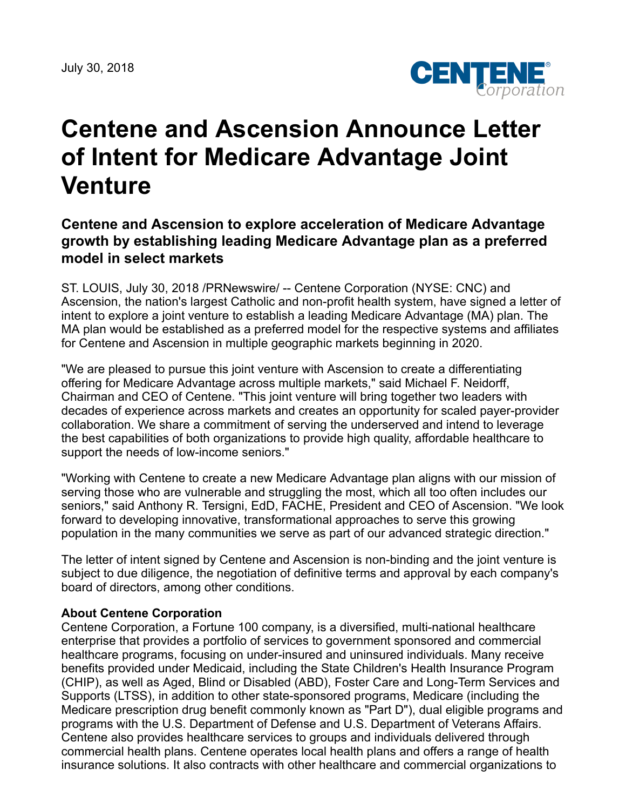

# **Centene and Ascension Announce Letter of Intent for Medicare Advantage Joint Venture**

# **Centene and Ascension to explore acceleration of Medicare Advantage growth by establishing leading Medicare Advantage plan as a preferred model in select markets**

ST. LOUIS, July 30, 2018 /PRNewswire/ -- Centene Corporation (NYSE: CNC) and Ascension, the nation's largest Catholic and non-profit health system, have signed a letter of intent to explore a joint venture to establish a leading Medicare Advantage (MA) plan. The MA plan would be established as a preferred model for the respective systems and affiliates for Centene and Ascension in multiple geographic markets beginning in 2020.

"We are pleased to pursue this joint venture with Ascension to create a differentiating offering for Medicare Advantage across multiple markets," said Michael F. Neidorff, Chairman and CEO of Centene. "This joint venture will bring together two leaders with decades of experience across markets and creates an opportunity for scaled payer-provider collaboration. We share a commitment of serving the underserved and intend to leverage the best capabilities of both organizations to provide high quality, affordable healthcare to support the needs of low-income seniors."

"Working with Centene to create a new Medicare Advantage plan aligns with our mission of serving those who are vulnerable and struggling the most, which all too often includes our seniors," said Anthony R. Tersigni, EdD, FACHE, President and CEO of Ascension. "We look forward to developing innovative, transformational approaches to serve this growing population in the many communities we serve as part of our advanced strategic direction."

The letter of intent signed by Centene and Ascension is non-binding and the joint venture is subject to due diligence, the negotiation of definitive terms and approval by each company's board of directors, among other conditions.

#### **About Centene Corporation**

Centene Corporation, a Fortune 100 company, is a diversified, multi-national healthcare enterprise that provides a portfolio of services to government sponsored and commercial healthcare programs, focusing on under-insured and uninsured individuals. Many receive benefits provided under Medicaid, including the State Children's Health Insurance Program (CHIP), as well as Aged, Blind or Disabled (ABD), Foster Care and Long-Term Services and Supports (LTSS), in addition to other state-sponsored programs, Medicare (including the Medicare prescription drug benefit commonly known as "Part D"), dual eligible programs and programs with the U.S. Department of Defense and U.S. Department of Veterans Affairs. Centene also provides healthcare services to groups and individuals delivered through commercial health plans. Centene operates local health plans and offers a range of health insurance solutions. It also contracts with other healthcare and commercial organizations to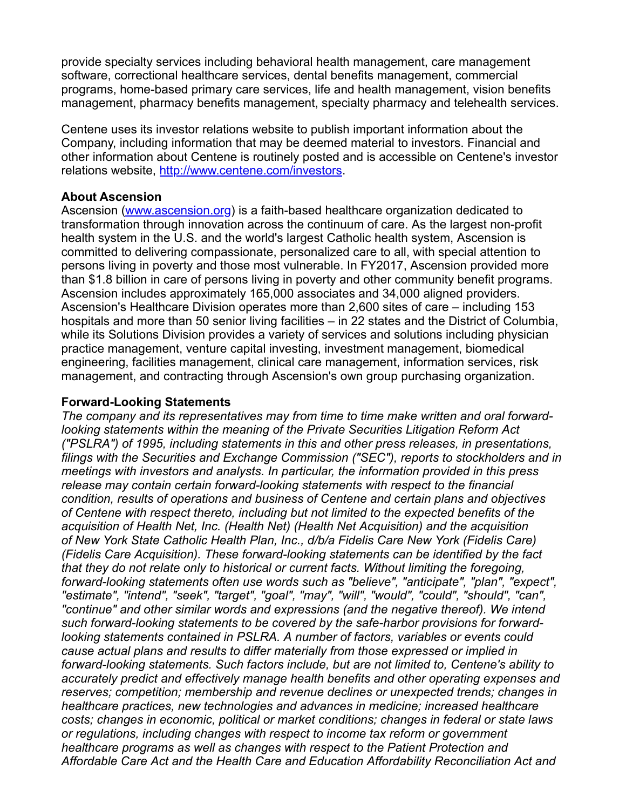provide specialty services including behavioral health management, care management software, correctional healthcare services, dental benefits management, commercial programs, home-based primary care services, life and health management, vision benefits management, pharmacy benefits management, specialty pharmacy and telehealth services.

Centene uses its investor relations website to publish important information about the Company, including information that may be deemed material to investors. Financial and other information about Centene is routinely posted and is accessible on Centene's investor relations website, <http://www.centene.com/investors>.

## **About Ascension**

Ascension ([www.ascension.org](http://www.ascension.org/)) is a faith-based healthcare organization dedicated to transformation through innovation across the continuum of care. As the largest non-profit health system in the U.S. and the world's largest Catholic health system, Ascension is committed to delivering compassionate, personalized care to all, with special attention to persons living in poverty and those most vulnerable. In FY2017, Ascension provided more than \$1.8 billion in care of persons living in poverty and other community benefit programs. Ascension includes approximately 165,000 associates and 34,000 aligned providers. Ascension's Healthcare Division operates more than 2,600 sites of care – including 153 hospitals and more than 50 senior living facilities – in 22 states and the District of Columbia, while its Solutions Division provides a variety of services and solutions including physician practice management, venture capital investing, investment management, biomedical engineering, facilities management, clinical care management, information services, risk management, and contracting through Ascension's own group purchasing organization.

## **Forward-Looking Statements**

*The company and its representatives may from time to time make written and oral forwardlooking statements within the meaning of the Private Securities Litigation Reform Act ("PSLRA") of 1995, including statements in this and other press releases, in presentations, filings with the Securities and Exchange Commission ("SEC"), reports to stockholders and in meetings with investors and analysts. In particular, the information provided in this press release may contain certain forward-looking statements with respect to the financial condition, results of operations and business of Centene and certain plans and objectives of Centene with respect thereto, including but not limited to the expected benefits of the acquisition of Health Net, Inc. (Health Net) (Health Net Acquisition) and the acquisition of New York State Catholic Health Plan, Inc., d/b/a Fidelis Care New York (Fidelis Care) (Fidelis Care Acquisition). These forward-looking statements can be identified by the fact that they do not relate only to historical or current facts. Without limiting the foregoing, forward-looking statements often use words such as "believe", "anticipate", "plan", "expect", "estimate", "intend", "seek", "target", "goal", "may", "will", "would", "could", "should", "can", "continue" and other similar words and expressions (and the negative thereof). We intend such forward-looking statements to be covered by the safe-harbor provisions for forwardlooking statements contained in PSLRA. A number of factors, variables or events could cause actual plans and results to differ materially from those expressed or implied in forward-looking statements. Such factors include, but are not limited to, Centene's ability to accurately predict and effectively manage health benefits and other operating expenses and reserves; competition; membership and revenue declines or unexpected trends; changes in healthcare practices, new technologies and advances in medicine; increased healthcare costs; changes in economic, political or market conditions; changes in federal or state laws or regulations, including changes with respect to income tax reform or government healthcare programs as well as changes with respect to the Patient Protection and Affordable Care Act and the Health Care and Education Affordability Reconciliation Act and*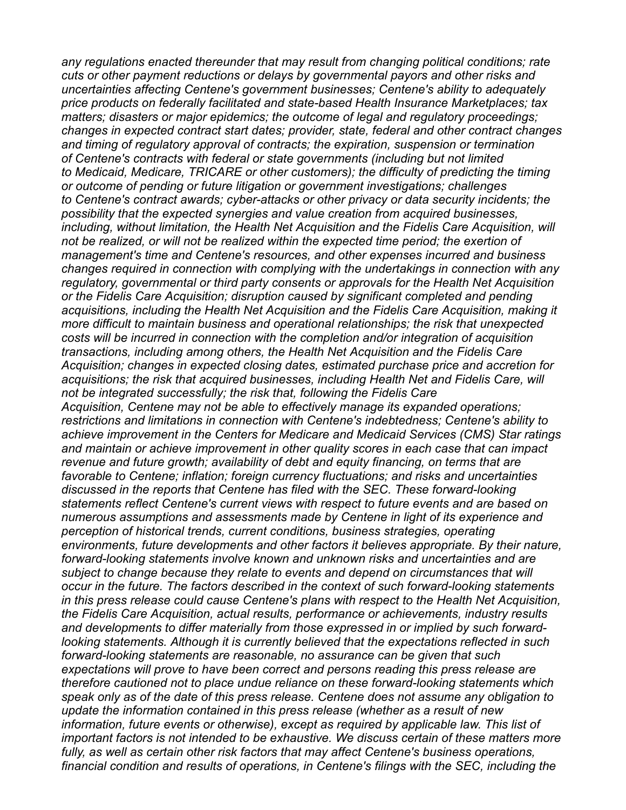*any regulations enacted thereunder that may result from changing political conditions; rate cuts or other payment reductions or delays by governmental payors and other risks and uncertainties affecting Centene's government businesses; Centene's ability to adequately price products on federally facilitated and state-based Health Insurance Marketplaces; tax matters; disasters or major epidemics; the outcome of legal and regulatory proceedings; changes in expected contract start dates; provider, state, federal and other contract changes and timing of regulatory approval of contracts; the expiration, suspension or termination of Centene's contracts with federal or state governments (including but not limited to Medicaid, Medicare, TRICARE or other customers); the difficulty of predicting the timing or outcome of pending or future litigation or government investigations; challenges to Centene's contract awards; cyber-attacks or other privacy or data security incidents; the possibility that the expected synergies and value creation from acquired businesses, including, without limitation, the Health Net Acquisition and the Fidelis Care Acquisition, will not be realized, or will not be realized within the expected time period; the exertion of management's time and Centene's resources, and other expenses incurred and business changes required in connection with complying with the undertakings in connection with any regulatory, governmental or third party consents or approvals for the Health Net Acquisition or the Fidelis Care Acquisition; disruption caused by significant completed and pending acquisitions, including the Health Net Acquisition and the Fidelis Care Acquisition, making it more difficult to maintain business and operational relationships; the risk that unexpected costs will be incurred in connection with the completion and/or integration of acquisition transactions, including among others, the Health Net Acquisition and the Fidelis Care Acquisition; changes in expected closing dates, estimated purchase price and accretion for acquisitions; the risk that acquired businesses, including Health Net and Fidelis Care, will not be integrated successfully; the risk that, following the Fidelis Care Acquisition, Centene may not be able to effectively manage its expanded operations; restrictions and limitations in connection with Centene's indebtedness; Centene's ability to achieve improvement in the Centers for Medicare and Medicaid Services (CMS) Star ratings and maintain or achieve improvement in other quality scores in each case that can impact revenue and future growth; availability of debt and equity financing, on terms that are favorable to Centene; inflation; foreign currency fluctuations; and risks and uncertainties discussed in the reports that Centene has filed with the SEC. These forward-looking statements reflect Centene's current views with respect to future events and are based on numerous assumptions and assessments made by Centene in light of its experience and perception of historical trends, current conditions, business strategies, operating environments, future developments and other factors it believes appropriate. By their nature, forward-looking statements involve known and unknown risks and uncertainties and are subject to change because they relate to events and depend on circumstances that will occur in the future. The factors described in the context of such forward-looking statements in this press release could cause Centene's plans with respect to the Health Net Acquisition, the Fidelis Care Acquisition, actual results, performance or achievements, industry results and developments to differ materially from those expressed in or implied by such forwardlooking statements. Although it is currently believed that the expectations reflected in such forward-looking statements are reasonable, no assurance can be given that such expectations will prove to have been correct and persons reading this press release are therefore cautioned not to place undue reliance on these forward-looking statements which speak only as of the date of this press release. Centene does not assume any obligation to update the information contained in this press release (whether as a result of new information, future events or otherwise), except as required by applicable law. This list of important factors is not intended to be exhaustive. We discuss certain of these matters more fully, as well as certain other risk factors that may affect Centene's business operations, financial condition and results of operations, in Centene's filings with the SEC, including the*